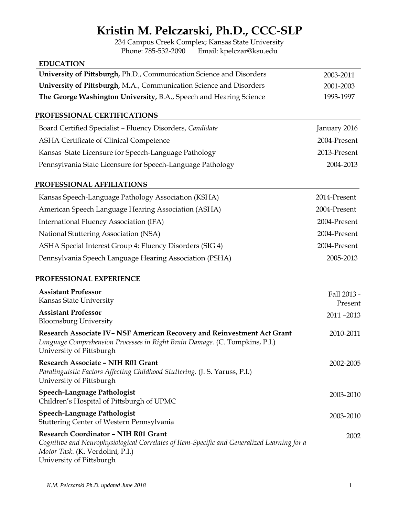# **Kristin M. Pelczarski, Ph.D., CCC-SLP**

234 Campus Creek Complex; Kansas State University<br>Phone: 785-532-2090 Email: kpelczar@ksu.edu Email: kpelczar@ksu.edu

### **EDUCATION**

| University of Pittsburgh, Ph.D., Communication Science and Disorders                                                                                                              | 2003-2011              |
|-----------------------------------------------------------------------------------------------------------------------------------------------------------------------------------|------------------------|
| University of Pittsburgh, M.A., Communication Science and Disorders                                                                                                               | 2001-2003              |
| The George Washington University, B.A., Speech and Hearing Science                                                                                                                | 1993-1997              |
| PROFESSIONAL CERTIFICATIONS                                                                                                                                                       |                        |
| Board Certified Specialist - Fluency Disorders, Candidate                                                                                                                         | January 2016           |
| ASHA Certificate of Clinical Competence                                                                                                                                           | 2004-Present           |
| Kansas State Licensure for Speech-Language Pathology                                                                                                                              | 2013-Present           |
| Pennsylvania State Licensure for Speech-Language Pathology                                                                                                                        | 2004-2013              |
| PROFESSIONAL AFFILIATIONS                                                                                                                                                         |                        |
| Kansas Speech-Language Pathology Association (KSHA)                                                                                                                               | 2014-Present           |
| American Speech Language Hearing Association (ASHA)                                                                                                                               | 2004-Present           |
| International Fluency Association (IFA)                                                                                                                                           | 2004-Present           |
| National Stuttering Association (NSA)                                                                                                                                             | 2004-Present           |
| ASHA Special Interest Group 4: Fluency Disorders (SIG 4)                                                                                                                          | 2004-Present           |
| Pennsylvania Speech Language Hearing Association (PSHA)                                                                                                                           | 2005-2013              |
| PROFESSIONAL EXPERIENCE                                                                                                                                                           |                        |
| <b>Assistant Professor</b><br>Kansas State University                                                                                                                             | Fall 2013 -<br>Present |
| <b>Assistant Professor</b><br><b>Bloomsburg University</b>                                                                                                                        | 2011-2013              |
| Research Associate IV-NSF American Recovery and Reinvestment Act Grant<br>Language Comprehension Processes in Right Brain Damage. (C. Tompkins, P.I.)<br>University of Pittsburgh | 2010-2011              |
| Research Associate - NIH R01 Grant<br>Paralinguistic Factors Affecting Childhood Stuttering. (J. S. Yaruss, P.I.)<br>University of Pittsburgh                                     | 2002-2005              |
| Speech-Language Pathologist<br>Children's Hospital of Pittsburgh of UPMC                                                                                                          | 2003-2010              |
| <b>Speech-Language Pathologist</b><br>Stuttering Center of Western Pennsylvania                                                                                                   | 2003-2010              |
| <b>Research Coordinator - NIH R01 Grant</b><br>Cognitive and Neurophysiological Correlates of Item-Specific and Generalized Learning for a<br>Motor Task. (K. Verdolini, P.I.)    | 2002                   |

University of Pittsburgh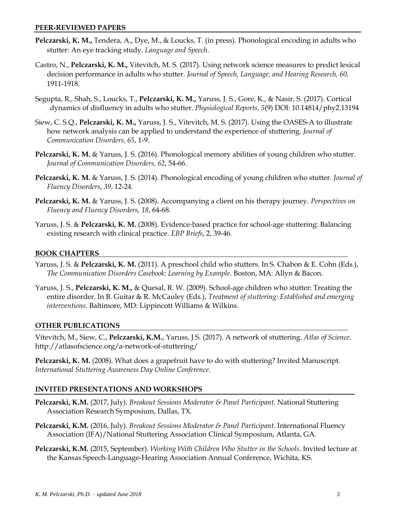#### **PEER-REVIEWED PAPERS**

- **Pelczarski, K. M.,** Tendera, A., Dye, M., & Loucks, T. (in press). Phonological encoding in adults who stutter: An eye tracking study. *Language and Speech*.
- Castro, N., **Pelczarski, K. M.,** Vitevitch, M. S. (2017). Using network science measures to predict lexical decision performance in adults who stutter. *Journal of Speech, Language, and Hearing Research, 60,* 1911-1918.
- Segupta, R., Shah, S., Loucks, T., **Pelczarski, K. M.,** Yaruss, J. S., Gore, K., & Nasir, S. (2017). Cortical dynamics of disfluency in adults who stutter. *Physiological Reports, 5*(9) DOI: 10.14814/phy2.13194
- Siew, C. S.Q., **Pelczarski, K. M.,** Yaruss, J. S., Vitevitch, M. S. (2017). Using the OASES-A to illustrate how network analysis can be applied to understand the experience of stuttering. *Journal of Communication Disorders, 65*, 1-9.
- **Pelczarski, K. M.** & Yaruss, J. S. (2016). Phonological memory abilities of young children who stutter. *Journal of Communication Disorders, 62*, 54-66.
- **Pelczarski, K. M.** & Yaruss, J. S. (2014). Phonological encoding of young children who stutter. *Journal of Fluency Disorders*, *39*, 12-24.
- **Pelczarski, K. M.** & Yaruss, J. S. (2008). Accompanying a client on his therapy journey. *Perspectives on Fluency and Fluency Disorders, 18*, 64-68.
- Yaruss, J. S. & **Pelczarski, K. M.** (2008). Evidence-based practice for school-age stuttering: Balancing existing research with clinical practice. *EBP Briefs*, 2, 39-46.

## **BOOK CHAPTERS**

- Yaruss, J. S. & **Pelczarski, K. M.** (2011). A preschool child who stutters. In S. Chabon & E. Cohn (Eds.), *The Communication Disorders Casebook: Learning by Example*. Boston, MA: Allyn & Bacon.
- Yaruss, J. S., **Pelczarski, K. M.,** & Quesal, R. W. (2009). School-age children who stutter: Treating the entire disorder. In B. Guitar & R. McCauley (Eds.), *Treatment of stuttering: Established and emerging interventions*. Baltimore, MD: Lippincott Williams & Wilkins.

### **OTHER PUBLICATIONS**

Vitevitch, M., Siew, C., **Pelczarski, K.M.**, Yaruss, J.S. (2017). A network of stuttering. *Atlas of Science.* http://atlasofscience.org/a-network-of-stuttering/

**Pelczarski, K. M.** (2008). What does a grapefruit have to do with stuttering? Invited Manuscript. *International Stuttering Awareness Day Online Conference*.

## **INVITED PRESENTATIONS AND WORKSHOPS**

- **Pelczarski, K.M.** (2017, July). *Breakout Sessions Moderator & Panel Participant.* National Stuttering Association Research Symposium, Dallas, TX.
- **Pelczarski, K.M.** (2016, July). *Breakout Sessions Moderator & Panel Participant.* International Fluency Association (IFA)/National Stuttering Association Clinical Symposium, Atlanta, GA.
- **Pelczarski, K.M.** (2015, September). *Working With Children Who Stutter in the Schools*. Invited lecture at the Kansas Speech-Language-Hearing Association Annual Conference, Wichita, KS.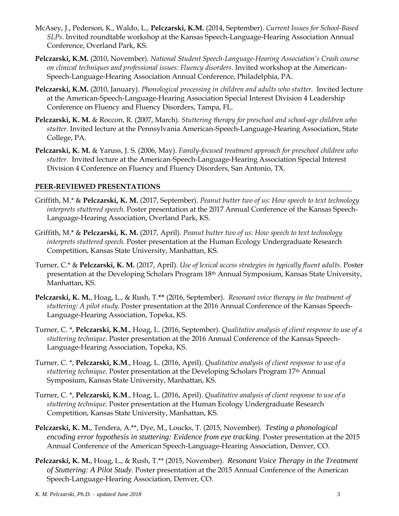- McAsey, J., Pederson, K., Waldo, L., **Pelczarski, K.M.** (2014, September). *Current Issues for School-Based SLPs*. Invited roundtable workshop at the Kansas Speech-Language-Hearing Association Annual Conference, Overland Park, KS.
- **Pelczarski, K.M.** (2010, November). *National Student Speech-Language-Hearing Association's Crash course on clinical techniques and professional issues: Fluency disorders.* Invited workshop at the American-Speech-Language-Hearing Association Annual Conference, Philadelphia, PA.
- **Pelczarski, K.M.** (2010, January). *Phonological processing in children and adults who stutter.* Invited lecture at the American-Speech-Language-Hearing Association Special Interest Division 4 Leadership Conference on Fluency and Fluency Disorders, Tampa, FL.
- **Pelczarski, K. M.** & Roccon, R. (2007, March). *Stuttering therapy for preschool and school-age children who stutter.* Invited lecture at the Pennsylvania American-Speech-Language-Hearing Association, State College, PA.
- **Pelczarski, K. M.** & Yaruss, J. S. (2006, May). *Family-focused treatment approach for preschool children who stutter.* Invited lecture at the American-Speech-Language-Hearing Association Special Interest Division 4 Conference on Fluency and Fluency Disorders, San Antonio, TX.

## **PEER-REVIEWED PRESENTATIONS**

- Griffith, M.\* & **Pelczarski, K. M.** (2017, September). *Peanut butter two of us: How speech to text technology interprets stuttered speech*. Poster presentation at the 2017 Annual Conference of the Kansas Speech-Language-Hearing Association, Overland Park, KS.
- Griffith, M.\* & **Pelczarski, K. M.** (2017, April). *Peanut butter two of us: How speech to text technology interprets stuttered speech.* Poster presentation at the Human Ecology Undergraduate Research Competition, Kansas State University, Manhattan, KS.
- Turner, C.\* & **Pelczarski, K. M.** (2017, April). *Use of lexical access strategies in typically fluent adults*. Poster presentation at the Developing Scholars Program 18th Annual Symposium, Kansas State University, Manhattan, KS.
- **Pelczarski, K. M.**, Hoag, L., & Rush, T.**\*\*** (2016, September). *Resonant voice therapy in the treatment of stuttering: A pilot study.* Poster presentation at the 2016 Annual Conference of the Kansas Speech-Language-Hearing Association, Topeka, KS.
- Turner, C. \*, **Pelczarski, K.M**., Hoag, L. (2016, September). *Qualitative analysis of client response to use of a stuttering technique*. Poster presentation at the 2016 Annual Conference of the Kansas Speech-Language-Hearing Association, Topeka, KS.
- Turner, C. \*, **Pelczarski, K.M**., Hoag, L. (2016, April). *Qualitative analysis of client response to use of a stuttering technique*. Poster presentation at the Developing Scholars Program 17th Annual Symposium, Kansas State University, Manhattan, KS.
- Turner, C. \*, **Pelczarski, K.M**., Hoag, L. (2016, April). *Qualitative analysis of client response to use of a stuttering technique*. Poster presentation at the Human Ecology Undergraduate Research Competition, Kansas State University, Manhattan, KS.
- **Pelczarski, K. M.**, Tendera, A.\*\*, Dye, M., Loucks, T. (2015, November). *Testing a phonological encoding error hypothesis in stuttering: Evidence from eye tracking.* Poster presentation at the 2015 Annual Conference of the American Speech-Language-Hearing Association, Denver, CO.
- **Pelczarski, K. M.**, Hoag, L., & Rush, T.\*\* (2015, November). *Resonant Voice Therapy in the Treatment of Stuttering: A Pilot Study.* Poster presentation at the 2015 Annual Conference of the American Speech-Language-Hearing Association, Denver, CO.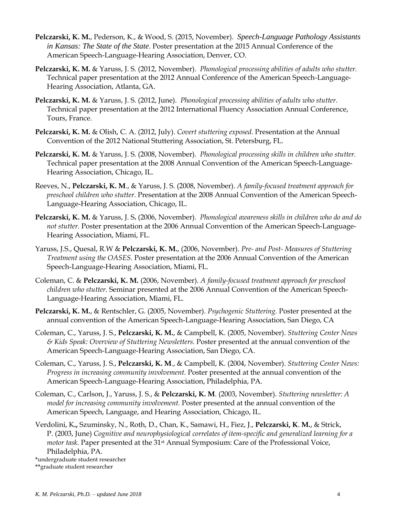- **Pelczarski, K. M.**, Pederson, K., & Wood, S. (2015, November). *Speech-Language Pathology Assistants in Kansas: The State of the State.* Poster presentation at the 2015 Annual Conference of the American Speech-Language-Hearing Association, Denver, CO.
- **Pelczarski, K. M.** & Yaruss, J. S. (2012, November). *Phonological processing abilities of adults who stutter.*  Technical paper presentation at the 2012 Annual Conference of the American Speech-Language-Hearing Association, Atlanta, GA.
- **Pelczarski, K. M.** & Yaruss, J. S. (2012, June). *Phonological processing abilities of adults who stutter.*  Technical paper presentation at the 2012 International Fluency Association Annual Conference, Tours, France.
- **Pelczarski, K. M.** & Olish, C. A. (2012, July). *Covert stuttering exposed.* Presentation at the Annual Convention of the 2012 National Stuttering Association, St. Petersburg, FL.
- **Pelczarski, K. M.** & Yaruss, J. S. (2008, November). *Phonological processing skills in children who stutter.*  Technical paper presentation at the 2008 Annual Convention of the American Speech-Language-Hearing Association, Chicago, IL.
- Reeves, N., **Pelczarski, K. M**., & Yaruss, J. S. (2008, November). *A family-focused treatment approach for preschool children who stutter.* Presentation at the 2008 Annual Convention of the American Speech-Language-Hearing Association, Chicago, IL.
- **Pelczarski, K. M.** & Yaruss, J. S**.** (2006, November). *Phonological awareness skills in children who do and do not stutter.* Poster presentation at the 2006 Annual Convention of the American Speech-Language-Hearing Association, Miami, FL.
- Yaruss, J.S., Quesal, R.W & **Pelczarski, K. M.**, (2006, November). *Pre- and Post- Measures of Stuttering Treatment using the OASES.* Poster presentation at the 2006 Annual Convention of the American Speech-Language-Hearing Association, Miami, FL.
- Coleman, C. & **Pelczarski, K. M.** (2006, November). *A family-focused treatment approach for preschool children who stutter.* Seminar presented at the 2006 Annual Convention of the American Speech-Language-Hearing Association, Miami, FL.
- **Pelczarski, K. M.**, & Rentschler, G. (2005, November). *Psychogenic Stuttering.* Poster presented at the annual convention of the American Speech-Language-Hearing Association, San Diego, CA
- Coleman, C., Yaruss, J. S., **Pelczarski, K. M.**, & Campbell, K. (2005, November). *Stuttering Center News & Kids Speak: Overview of Stuttering Newsletters.* Poster presented at the annual convention of the American Speech-Language-Hearing Association, San Diego, CA.
- Coleman, C., Yaruss, J. S., **Pelczarski, K. M**., & Campbell, K. (2004, November). *Stuttering Center News: Progress in increasing community involvement.* Poster presented at the annual convention of the American Speech-Language-Hearing Association, Philadelphia, PA.
- Coleman, C., Carlson, J., Yaruss, J. S., & **Pelczarski, K. M**. (2003, November). *Stuttering newsletter: A model for increasing community involvement.* Poster presented at the annual convention of the American Speech, Language, and Hearing Association, Chicago, IL.
- Verdolini, K**.,** Szuminsky, N., Roth, D., Chan, K., Samawi, H., Fiez, J., **Pelczarski, K**. **M.**, & Strick, P. (2003, June) *Cognitive and neurophysiological correlates of item-specific and generalized learning for a motor task.* Paper presented at the 31<sup>st</sup> Annual Symposium: Care of the Professional Voice, Philadelphia, PA.

**\***undergraduate student researcher

**<sup>\*\*</sup>**graduate student researcher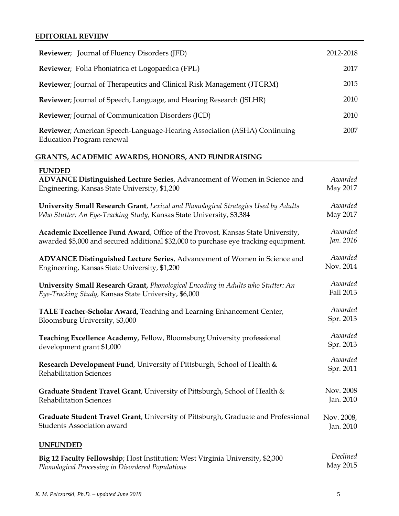## **EDITORIAL REVIEW**

| <b>Reviewer</b> ; Journal of Fluency Disorders (JFD)                                                                                        | 2012-2018           |
|---------------------------------------------------------------------------------------------------------------------------------------------|---------------------|
| Reviewer; Folia Phoniatrica et Logopaedica (FPL)                                                                                            | 2017                |
| Reviewer; Journal of Therapeutics and Clinical Risk Management (JTCRM)                                                                      | 2015                |
| Reviewer; Journal of Speech, Language, and Hearing Research (JSLHR)                                                                         | 2010                |
| <b>Reviewer</b> ; Journal of Communication Disorders (JCD)                                                                                  | 2010                |
| Reviewer; American Speech-Language-Hearing Association (ASHA) Continuing<br><b>Education Program renewal</b>                                | 2007                |
| <b>GRANTS, ACADEMIC AWARDS, HONORS, AND FUNDRAISING</b>                                                                                     |                     |
| <b>FUNDED</b><br>ADVANCE Distinguished Lecture Series, Advancement of Women in Science and<br>Engineering, Kansas State University, \$1,200 | Awarded<br>May 2017 |
| University Small Research Grant, Lexical and Phonological Strategies Used by Adults                                                         | Awarded             |
| Who Stutter: An Eye-Tracking Study, Kansas State University, \$3,384                                                                        | May 2017            |
| Academic Excellence Fund Award, Office of the Provost, Kansas State University,                                                             | Awarded             |
| awarded \$5,000 and secured additional \$32,000 to purchase eye tracking equipment.                                                         | Jan. 2016           |
| ADVANCE Distinguished Lecture Series, Advancement of Women in Science and                                                                   | Awarded             |
| Engineering, Kansas State University, \$1,200                                                                                               | Nov. 2014           |
| University Small Research Grant, Phonological Encoding in Adults who Stutter: An                                                            | Awarded             |
| Eye-Tracking Study, Kansas State University, \$6,000                                                                                        | Fall 2013           |
| TALE Teacher-Scholar Award, Teaching and Learning Enhancement Center,                                                                       | Awarded             |
| Bloomsburg University, \$3,000                                                                                                              | Spr. 2013           |
| Teaching Excellence Academy, Fellow, Bloomsburg University professional                                                                     | Awarded             |
| development grant \$1,000                                                                                                                   | Spr. 2013           |
| Research Development Fund, University of Pittsburgh, School of Health &                                                                     | Awarded             |
| <b>Rehabilitation Sciences</b>                                                                                                              | Spr. 2011           |
| Graduate Student Travel Grant, University of Pittsburgh, School of Health &                                                                 | Nov. 2008           |
| <b>Rehabilitation Sciences</b>                                                                                                              | Jan. 2010           |
| Graduate Student Travel Grant, University of Pittsburgh, Graduate and Professional                                                          | Nov. 2008,          |
| Students Association award                                                                                                                  | Jan. 2010           |
| <b>UNFUNDED</b>                                                                                                                             |                     |
| Big 12 Faculty Fellowship; Host Institution: West Virginia University, \$2,300                                                              | Declined            |
| Phonological Processing in Disordered Populations                                                                                           | May 2015            |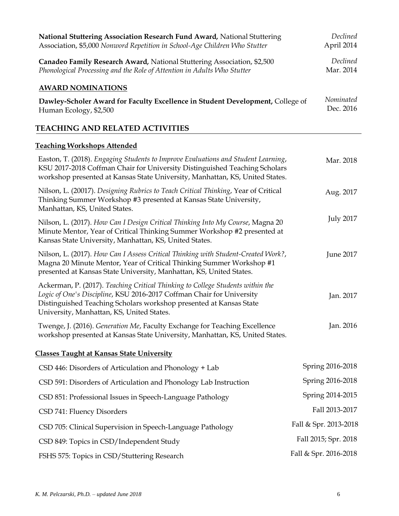| National Stuttering Association Research Fund Award, National Stuttering<br>Association, \$5,000 Nonword Repetition in School-Age Children Who Stutter                                                                                                                     | Declined<br>April 2014 |
|----------------------------------------------------------------------------------------------------------------------------------------------------------------------------------------------------------------------------------------------------------------------------|------------------------|
| Canadeo Family Research Award, National Stuttering Association, \$2,500<br>Phonological Processing and the Role of Attention in Adults Who Stutter                                                                                                                         | Declined<br>Mar. 2014  |
| <b>AWARD NOMINATIONS</b>                                                                                                                                                                                                                                                   |                        |
| Dawley-Scholer Award for Faculty Excellence in Student Development, College of<br>Human Ecology, \$2,500                                                                                                                                                                   | Nominated<br>Dec. 2016 |
| <b>TEACHING AND RELATED ACTIVITIES</b>                                                                                                                                                                                                                                     |                        |
| <b>Teaching Workshops Attended</b>                                                                                                                                                                                                                                         |                        |
| Easton, T. (2018). Engaging Students to Improve Evaluations and Student Learning,<br>KSU 2017-2018 Coffman Chair for University Distinguished Teaching Scholars<br>workshop presented at Kansas State University, Manhattan, KS, United States.                            | Mar. 2018              |
| Nilson, L. (20017). Designing Rubrics to Teach Critical Thinking, Year of Critical<br>Thinking Summer Workshop #3 presented at Kansas State University,<br>Manhattan, KS, United States.                                                                                   | Aug. 2017              |
| Nilson, L. (2017). How Can I Design Critical Thinking Into My Course, Magna 20<br>Minute Mentor, Year of Critical Thinking Summer Workshop #2 presented at<br>Kansas State University, Manhattan, KS, United States.                                                       | <b>July 2017</b>       |
| Nilson, L. (2017). How Can I Assess Critical Thinking with Student-Created Work?,<br>Magna 20 Minute Mentor, Year of Critical Thinking Summer Workshop #1<br>presented at Kansas State University, Manhattan, KS, United States.                                           | June 2017              |
| Ackerman, P. (2017). Teaching Critical Thinking to College Students within the<br>Logic of One's Discipline, KSU 2016-2017 Coffman Chair for University<br>Distinguished Teaching Scholars workshop presented at Kansas State<br>University, Manhattan, KS, United States. | Jan. 2017              |
| Twenge, J. (2016). Generation Me, Faculty Exchange for Teaching Excellence<br>workshop presented at Kansas State University, Manhattan, KS, United States.                                                                                                                 | Jan. 2016              |
| <b>Classes Taught at Kansas State University</b>                                                                                                                                                                                                                           |                        |
| CSD 446: Disorders of Articulation and Phonology + Lab                                                                                                                                                                                                                     | Spring 2016-2018       |
| CSD 591: Disorders of Articulation and Phonology Lab Instruction                                                                                                                                                                                                           | Spring 2016-2018       |
| CSD 851: Professional Issues in Speech-Language Pathology                                                                                                                                                                                                                  | Spring 2014-2015       |
| CSD 741: Fluency Disorders                                                                                                                                                                                                                                                 | Fall 2013-2017         |
| CSD 705: Clinical Supervision in Speech-Language Pathology                                                                                                                                                                                                                 | Fall & Spr. 2013-2018  |
| CSD 849: Topics in CSD/Independent Study                                                                                                                                                                                                                                   | Fall 2015; Spr. 2018   |
| FSHS 575: Topics in CSD/Stuttering Research                                                                                                                                                                                                                                | Fall & Spr. 2016-2018  |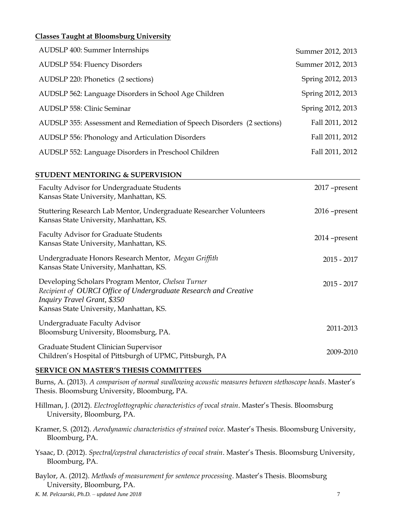### **Classes Taught at Bloomsburg University**

| AUDSLP 400: Summer Internships                                          | Summer 2012, 2013 |
|-------------------------------------------------------------------------|-------------------|
| <b>AUDSLP 554: Fluency Disorders</b>                                    | Summer 2012, 2013 |
| AUDSLP 220: Phonetics (2 sections)                                      | Spring 2012, 2013 |
| AUDSLP 562: Language Disorders in School Age Children                   | Spring 2012, 2013 |
| AUDSLP 558: Clinic Seminar                                              | Spring 2012, 2013 |
| AUDSLP 355: Assessment and Remediation of Speech Disorders (2 sections) | Fall 2011, 2012   |
| AUDSLP 556: Phonology and Articulation Disorders                        | Fall 2011, 2012   |
| AUDSLP 552: Language Disorders in Preschool Children                    | Fall 2011, 2012   |

#### **STUDENT MENTORING & SUPERVISION**

| Faculty Advisor for Undergraduate Students<br>Kansas State University, Manhattan, KS.                                                                                                                   | 2017 - present  |
|---------------------------------------------------------------------------------------------------------------------------------------------------------------------------------------------------------|-----------------|
| Stuttering Research Lab Mentor, Undergraduate Researcher Volunteers<br>Kansas State University, Manhattan, KS.                                                                                          | $2016$ -present |
| Faculty Advisor for Graduate Students<br>Kansas State University, Manhattan, KS.                                                                                                                        | $2014$ -present |
| Undergraduate Honors Research Mentor, Megan Griffith<br>Kansas State University, Manhattan, KS.                                                                                                         | $2015 - 2017$   |
| Developing Scholars Program Mentor, Chelsea Turner<br>Recipient of OURCI Office of Undergraduate Research and Creative<br><b>Inquiry Travel Grant, \$350</b><br>Kansas State University, Manhattan, KS. | $2015 - 2017$   |
| Undergraduate Faculty Advisor<br>Bloomsburg University, Bloomsburg, PA.                                                                                                                                 | 2011-2013       |
| Graduate Student Clinician Supervisor<br>Children's Hospital of Pittsburgh of UPMC, Pittsburgh, PA                                                                                                      | 2009-2010       |

#### **SERVICE ON MASTER'S THESIS COMMITTEES**

Burns, A. (2013). *A comparison of normal swallowing acoustic measures between stethoscope heads*. Master's Thesis. Bloomsburg University, Bloomburg, PA.

Hillman, J. (2012). *Electroglottographic characteristics of vocal strain*. Master's Thesis. Bloomsburg University, Bloomburg, PA.

Kramer, S. (2012). *Aerodynamic characteristics of strained voice*. Master's Thesis. Bloomsburg University, Bloomburg, PA.

Ysaac, D. (2012). *Spectral/cepstral characteristics of vocal strain*. Master's Thesis. Bloomsburg University, Bloomburg, PA.

Baylor, A. (2012). *Methods of measurement for sentence processing*. Master's Thesis. Bloomsburg University, Bloomburg, PA.

*K. M. Pelczarski, Ph.D. – updated June 2018* 7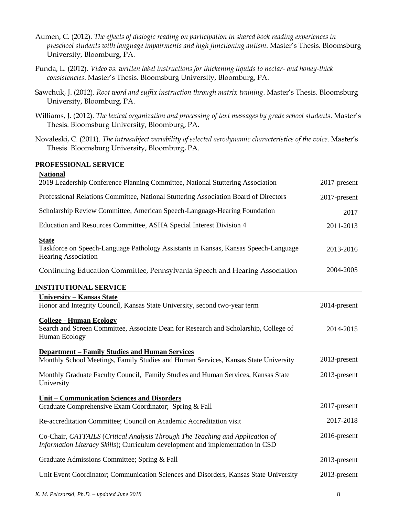- Aumen, C. (2012). *The effects of dialogic reading on participation in shared book reading experiences in preschool students with language impairments and high functioning autism*. Master's Thesis. Bloomsburg University, Bloomburg, PA.
- Punda, L. (2012). *Video vs. written label instructions for thickening liquids to nectar- and honey-thick consistencies*. Master's Thesis. Bloomsburg University, Bloomburg, PA.
- Sawchuk, J. (2012). *Root word and suffix instruction through matrix training*. Master's Thesis. Bloomsburg University, Bloomburg, PA.
- Williams, J. (2012). *The lexical organization and processing of text messages by grade school students*. Master's Thesis. Bloomsburg University, Bloomburg, PA.
- Novaleski, C. (2011). *The intrasubject variability of selected aerodynamic characteristics of the voice*. Master's Thesis. Bloomsburg University, Bloomburg, PA.

#### **PROFESSIONAL SERVICE**

| 2017-present |
|--------------|
| 2017-present |
| 2017         |
| 2011-2013    |
| 2013-2016    |
| 2004-2005    |
|              |
| 2014-present |
| 2014-2015    |
| 2013-present |
| 2013-present |
|              |
| 2017-present |
| 2017-2018    |
| 2016-present |
| 2013-present |
| 2013-present |
|              |